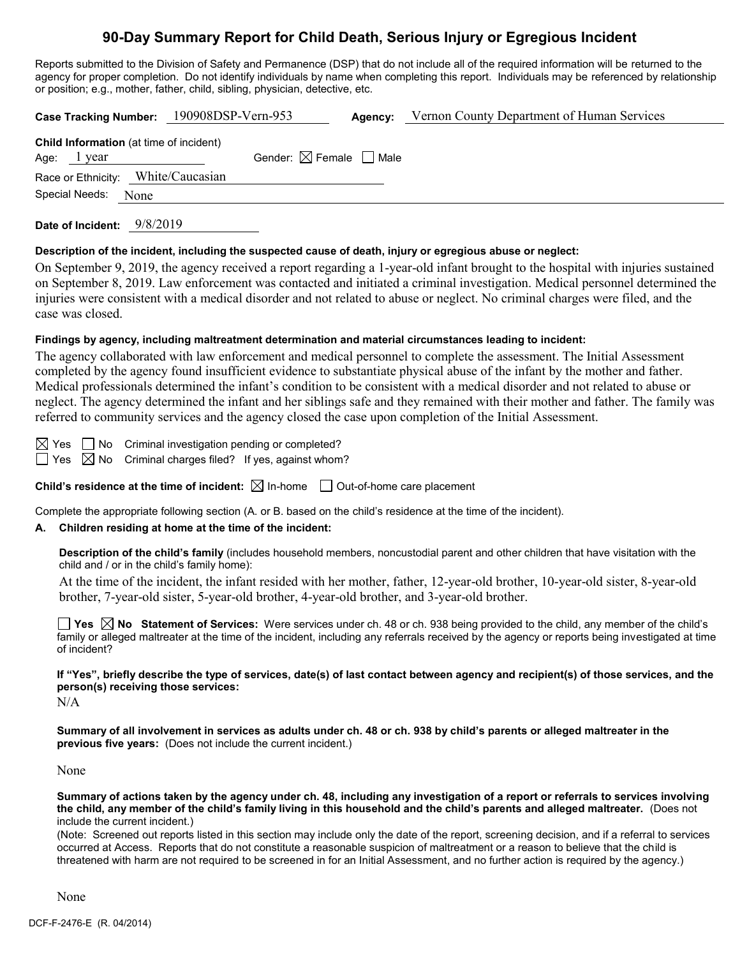# **90-Day Summary Report for Child Death, Serious Injury or Egregious Incident**

Reports submitted to the Division of Safety and Permanence (DSP) that do not include all of the required information will be returned to the agency for proper completion. Do not identify individuals by name when completing this report. Individuals may be referenced by relationship or position; e.g., mother, father, child, sibling, physician, detective, etc.

| Case Tracking Number: 190908DSP-Vern-953                                                              |                                        | Agency: | Vernon County Department of Human Services |
|-------------------------------------------------------------------------------------------------------|----------------------------------------|---------|--------------------------------------------|
| <b>Child Information</b> (at time of incident)<br>Age: $1$ year<br>Race or Ethnicity: White/Caucasian | Gender: $\boxtimes$ Female $\Box$ Male |         |                                            |
| Special Needs:<br>None                                                                                |                                        |         |                                            |
|                                                                                                       |                                        |         |                                            |

**Date of Incident:** 9/8/2019

### **Description of the incident, including the suspected cause of death, injury or egregious abuse or neglect:**

On September 9, 2019, the agency received a report regarding a 1-year-old infant brought to the hospital with injuries sustained on September 8, 2019. Law enforcement was contacted and initiated a criminal investigation. Medical personnel determined the injuries were consistent with a medical disorder and not related to abuse or neglect. No criminal charges were filed, and the case was closed.

### **Findings by agency, including maltreatment determination and material circumstances leading to incident:**

The agency collaborated with law enforcement and medical personnel to complete the assessment. The Initial Assessment completed by the agency found insufficient evidence to substantiate physical abuse of the infant by the mother and father. Medical professionals determined the infant's condition to be consistent with a medical disorder and not related to abuse or neglect. The agency determined the infant and her siblings safe and they remained with their mother and father. The family was referred to community services and the agency closed the case upon completion of the Initial Assessment.

 $\boxtimes$  Yes  $\Box$  No Criminal investigation pending or completed?

 $\Box$  Yes  $\boxtimes$  No Criminal charges filed? If yes, against whom?

**Child's residence at the time of incident:**  $\boxtimes$  In-home  $\Box$  Out-of-home care placement

Complete the appropriate following section (A. or B. based on the child's residence at the time of the incident).

# **A. Children residing at home at the time of the incident:**

**Description of the child's family** (includes household members, noncustodial parent and other children that have visitation with the child and / or in the child's family home):

At the time of the incident, the infant resided with her mother, father, 12-year-old brother, 10-year-old sister, 8-year-old brother, 7-year-old sister, 5-year-old brother, 4-year-old brother, and 3-year-old brother.

■ Yes **No** Statement of Services: Were services under ch. 48 or ch. 938 being provided to the child, any member of the child's family or alleged maltreater at the time of the incident, including any referrals received by the agency or reports being investigated at time of incident?

**If "Yes", briefly describe the type of services, date(s) of last contact between agency and recipient(s) of those services, and the person(s) receiving those services:**

 $N/A$ 

**Summary of all involvement in services as adults under ch. 48 or ch. 938 by child's parents or alleged maltreater in the previous five years:** (Does not include the current incident.)

None

**Summary of actions taken by the agency under ch. 48, including any investigation of a report or referrals to services involving the child, any member of the child's family living in this household and the child's parents and alleged maltreater.** (Does not include the current incident.)

(Note: Screened out reports listed in this section may include only the date of the report, screening decision, and if a referral to services occurred at Access. Reports that do not constitute a reasonable suspicion of maltreatment or a reason to believe that the child is threatened with harm are not required to be screened in for an Initial Assessment, and no further action is required by the agency.)

None